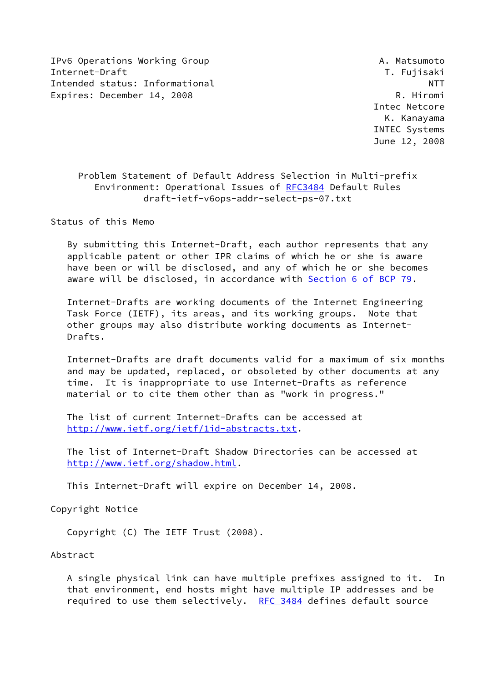IPv6 Operations Working Group **A. Matsumoto** Internet-Draft T. Fujisaki Intended status: Informational NTT Expires: December 14, 2008 R. Hiromi

 Intec Netcore K. Kanayama INTEC Systems June 12, 2008

 Problem Statement of Default Address Selection in Multi-prefix Environment: Operational Issues of [RFC3484](https://datatracker.ietf.org/doc/pdf/rfc3484) Default Rules draft-ietf-v6ops-addr-select-ps-07.txt

Status of this Memo

 By submitting this Internet-Draft, each author represents that any applicable patent or other IPR claims of which he or she is aware have been or will be disclosed, and any of which he or she becomes aware will be disclosed, in accordance with Section [6 of BCP 79.](https://datatracker.ietf.org/doc/pdf/bcp79#section-6)

 Internet-Drafts are working documents of the Internet Engineering Task Force (IETF), its areas, and its working groups. Note that other groups may also distribute working documents as Internet- Drafts.

 Internet-Drafts are draft documents valid for a maximum of six months and may be updated, replaced, or obsoleted by other documents at any time. It is inappropriate to use Internet-Drafts as reference material or to cite them other than as "work in progress."

 The list of current Internet-Drafts can be accessed at <http://www.ietf.org/ietf/1id-abstracts.txt>.

 The list of Internet-Draft Shadow Directories can be accessed at <http://www.ietf.org/shadow.html>.

This Internet-Draft will expire on December 14, 2008.

Copyright Notice

Copyright (C) The IETF Trust (2008).

### Abstract

 A single physical link can have multiple prefixes assigned to it. In that environment, end hosts might have multiple IP addresses and be required to use them selectively. [RFC 3484](https://datatracker.ietf.org/doc/pdf/rfc3484) defines default source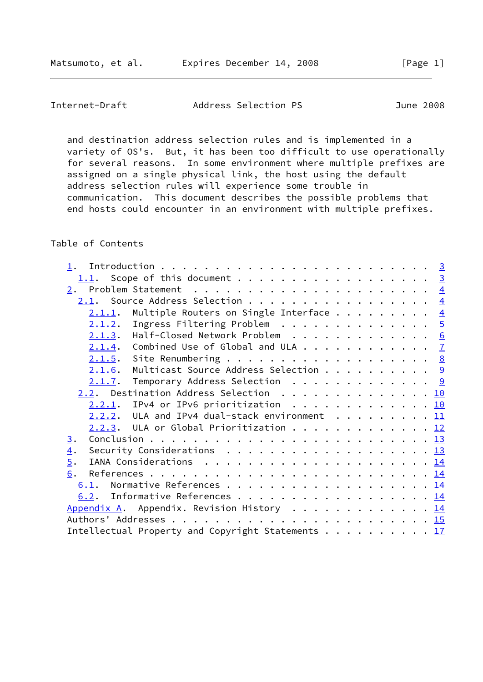|  | Internet-Draft | Address Selection PS | June 2008 |  |
|--|----------------|----------------------|-----------|--|
|--|----------------|----------------------|-----------|--|

 and destination address selection rules and is implemented in a variety of OS's. But, it has been too difficult to use operationally for several reasons. In some environment where multiple prefixes are assigned on a single physical link, the host using the default address selection rules will experience some trouble in communication. This document describes the possible problems that end hosts could encounter in an environment with multiple prefixes.

## Table of Contents

| Scope of this document 3<br>1.1.                                                                            |                |
|-------------------------------------------------------------------------------------------------------------|----------------|
|                                                                                                             |                |
| 2.1. Source Address Selection                                                                               | $\overline{4}$ |
| Multiple Routers on Single Interface<br>2.1.1.                                                              | $\overline{4}$ |
| $2.1.2$ . Ingress Filtering Problem 5                                                                       |                |
| 2.1.3. Half-Closed Network Problem 6                                                                        |                |
| $2.1.4$ . Combined Use of Global and ULA $\frac{7}{2}$                                                      |                |
| $2.1.5$ . Site Renumbering 8                                                                                |                |
| Multicast Source Address Selection $\frac{9}{2}$<br>2.1.6.                                                  |                |
| Temporary Address Selection $\ldots$ 9<br>2.1.7.                                                            |                |
| 2.2. Destination Address Selection 10                                                                       |                |
| IPv4 or IPv6 prioritization <u>10</u><br>$2.2.1$ .                                                          |                |
| $2.2.2.$ ULA and IPv4 dual-stack environment 11                                                             |                |
| $2.2.3$ . ULA or Global Prioritization 12                                                                   |                |
| 3.                                                                                                          |                |
| Security Considerations $\ldots \ldots \ldots \ldots \ldots \ldots \ldots \frac{13}{2}$<br>$\overline{4}$ . |                |
| $\overline{5}$ .                                                                                            |                |
| 6.                                                                                                          |                |
| Normative References 14<br>6.1.                                                                             |                |
| 6.2. Informative References 14                                                                              |                |
| Appendix A. Appendix. Revision History 14                                                                   |                |
|                                                                                                             |                |
| Intellectual Property and Copyright Statements 17                                                           |                |
|                                                                                                             |                |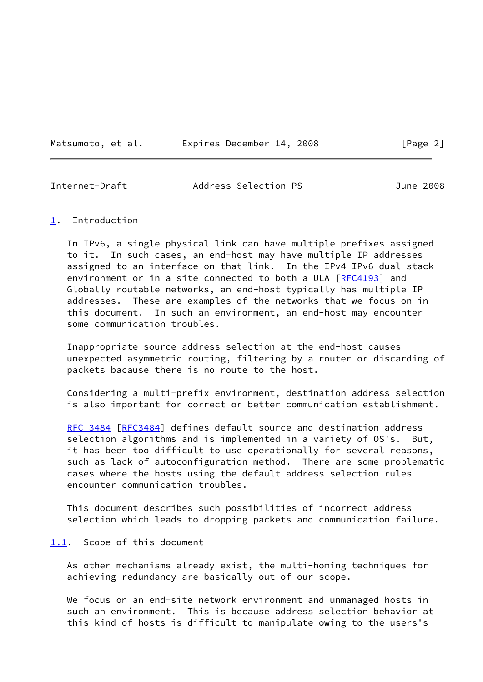Matsumoto, et al. Expires December 14, 2008 [Page 2]

<span id="page-2-1"></span>Internet-Draft Address Selection PS June 2008

#### <span id="page-2-0"></span>[1](#page-2-0). Introduction

 In IPv6, a single physical link can have multiple prefixes assigned to it. In such cases, an end-host may have multiple IP addresses assigned to an interface on that link. In the IPv4-IPv6 dual stack environment or in a site connected to both a ULA [\[RFC4193](https://datatracker.ietf.org/doc/pdf/rfc4193)] and Globally routable networks, an end-host typically has multiple IP addresses. These are examples of the networks that we focus on in this document. In such an environment, an end-host may encounter some communication troubles.

 Inappropriate source address selection at the end-host causes unexpected asymmetric routing, filtering by a router or discarding of packets bacause there is no route to the host.

 Considering a multi-prefix environment, destination address selection is also important for correct or better communication establishment.

 [RFC 3484](https://datatracker.ietf.org/doc/pdf/rfc3484) [\[RFC3484](https://datatracker.ietf.org/doc/pdf/rfc3484)] defines default source and destination address selection algorithms and is implemented in a variety of OS's. But, it has been too difficult to use operationally for several reasons, such as lack of autoconfiguration method. There are some problematic cases where the hosts using the default address selection rules encounter communication troubles.

 This document describes such possibilities of incorrect address selection which leads to dropping packets and communication failure.

#### <span id="page-2-2"></span>[1.1](#page-2-2). Scope of this document

 As other mechanisms already exist, the multi-homing techniques for achieving redundancy are basically out of our scope.

We focus on an end-site network environment and unmanaged hosts in such an environment. This is because address selection behavior at this kind of hosts is difficult to manipulate owing to the users's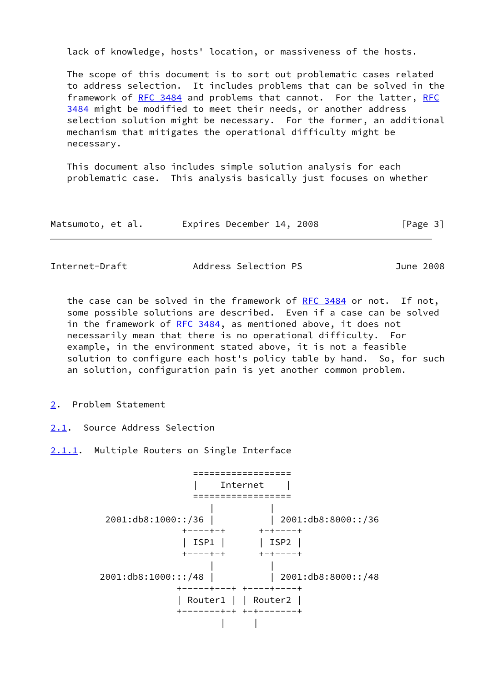lack of knowledge, hosts' location, or massiveness of the hosts.

 The scope of this document is to sort out problematic cases related to address selection. It includes problems that can be solved in the framework of [RFC 3484](https://datatracker.ietf.org/doc/pdf/rfc3484) and problems that cannot. For the latter, [RFC](https://datatracker.ietf.org/doc/pdf/rfc3484) [3484](https://datatracker.ietf.org/doc/pdf/rfc3484) might be modified to meet their needs, or another address selection solution might be necessary. For the former, an additional mechanism that mitigates the operational difficulty might be necessary.

 This document also includes simple solution analysis for each problematic case. This analysis basically just focuses on whether

| Matsumoto, et al. |  | Expires December 14, 2008 |  | [Page 3] |  |
|-------------------|--|---------------------------|--|----------|--|
|                   |  |                           |  |          |  |

<span id="page-3-1"></span>Internet-Draft Address Selection PS June 2008

 the case can be solved in the framework of [RFC 3484](https://datatracker.ietf.org/doc/pdf/rfc3484) or not. If not, some possible solutions are described. Even if a case can be solved in the framework of [RFC 3484,](https://datatracker.ietf.org/doc/pdf/rfc3484) as mentioned above, it does not necessarily mean that there is no operational difficulty. For example, in the environment stated above, it is not a feasible solution to configure each host's policy table by hand. So, for such an solution, configuration pain is yet another common problem.

- <span id="page-3-0"></span>[2](#page-3-0). Problem Statement
- <span id="page-3-2"></span>[2.1](#page-3-2). Source Address Selection
- <span id="page-3-3"></span>[2.1.1](#page-3-3). Multiple Routers on Single Interface

 ================== | Internet | ================== | | 2001:db8:1000::/36 | | 2001:db8:8000::/36 +----+-+ +-+----+ | ISP1 | | ISP2 | +----+-+ +-+----+ | | 2001:db8:1000:::/48 | | 2001:db8:8000::/48 +-----+---+ +----+----+ | Router1 | | Router2 | +-------+-+ +-+-------+ | |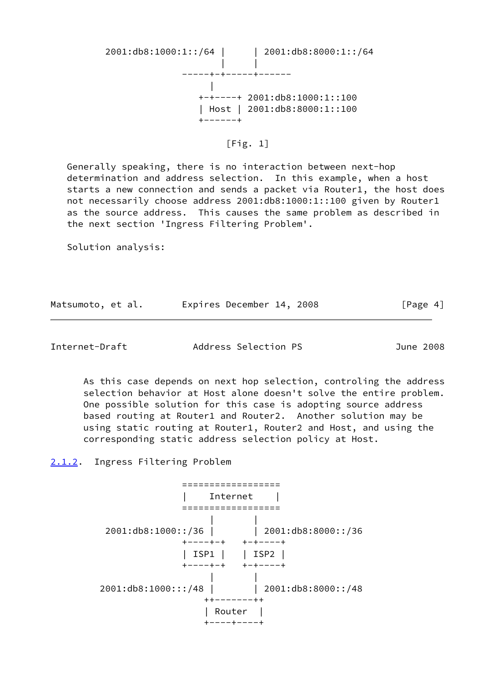2001:db8:1000:1::/64 | | 2001:db8:8000:1::/64 | | -----+-+-----+------ | +-+----+ 2001:db8:1000:1::100 | Host | 2001:db8:8000:1::100 +------+

[Fig. 1]

 Generally speaking, there is no interaction between next-hop determination and address selection. In this example, when a host starts a new connection and sends a packet via Router1, the host does not necessarily choose address 2001:db8:1000:1::100 given by Router1 as the source address. This causes the same problem as described in the next section 'Ingress Filtering Problem'.

Solution analysis:

| Matsumoto, et al. | Expires December 14, 2008 |  |  | [Page 4] |
|-------------------|---------------------------|--|--|----------|
|-------------------|---------------------------|--|--|----------|

<span id="page-4-1"></span>Internet-Draft Address Selection PS June 2008

 As this case depends on next hop selection, controling the address selection behavior at Host alone doesn't solve the entire problem. One possible solution for this case is adopting source address based routing at Router1 and Router2. Another solution may be using static routing at Router1, Router2 and Host, and using the corresponding static address selection policy at Host.

<span id="page-4-0"></span>[2.1.2](#page-4-0). Ingress Filtering Problem

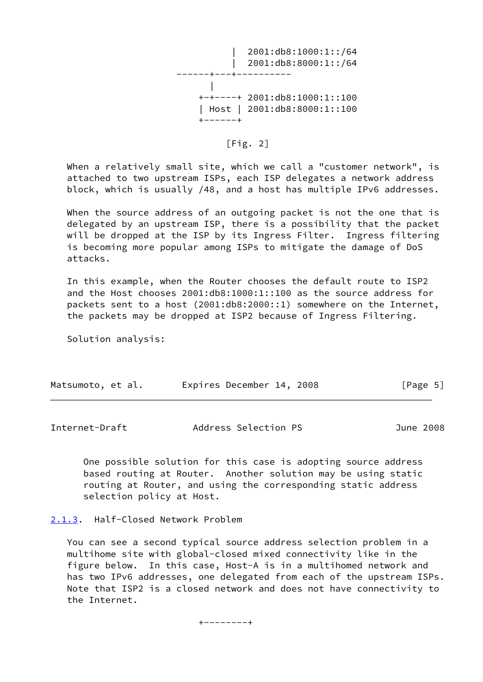

[Fig. 2]

 When a relatively small site, which we call a "customer network", is attached to two upstream ISPs, each ISP delegates a network address block, which is usually /48, and a host has multiple IPv6 addresses.

When the source address of an outgoing packet is not the one that is delegated by an upstream ISP, there is a possibility that the packet will be dropped at the ISP by its Ingress Filter. Ingress filtering is becoming more popular among ISPs to mitigate the damage of DoS attacks.

 In this example, when the Router chooses the default route to ISP2 and the Host chooses 2001:db8:1000:1::100 as the source address for packets sent to a host (2001:db8:2000::1) somewhere on the Internet, the packets may be dropped at ISP2 because of Ingress Filtering.

Solution analysis:

| Matsumoto, et al. | Expires December 14, 2008 | [Page 5] |
|-------------------|---------------------------|----------|
|-------------------|---------------------------|----------|

<span id="page-5-1"></span>

| Internet-Draft |  | Address Selection PS | June 2008 |
|----------------|--|----------------------|-----------|
|----------------|--|----------------------|-----------|

 One possible solution for this case is adopting source address based routing at Router. Another solution may be using static routing at Router, and using the corresponding static address selection policy at Host.

<span id="page-5-0"></span>[2.1.3](#page-5-0). Half-Closed Network Problem

 You can see a second typical source address selection problem in a multihome site with global-closed mixed connectivity like in the figure below. In this case, Host-A is in a multihomed network and has two IPv6 addresses, one delegated from each of the upstream ISPs. Note that ISP2 is a closed network and does not have connectivity to the Internet.

+--------+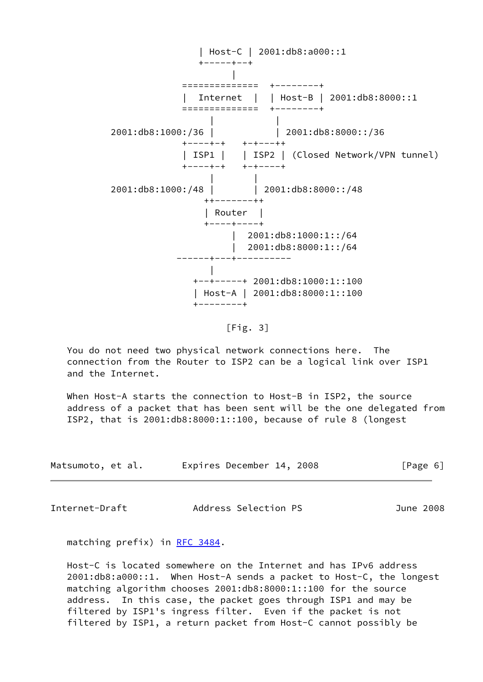| Host-C | 2001:db8:a000::1 +-----+--+ | ============== +--------+ | Internet | | Host-B | 2001:db8:8000::1 ============== +--------+ | | 2001:db8:1000:/36 | | 2001:db8:8000::/36 +----+-+ +-+---++ | ISP1 | | ISP2 | (Closed Network/VPN tunnel) +----+-+ +-+----+ | | 2001:db8:1000:/48 | | 2001:db8:8000::/48 ++-------++ | Router | +----+----+ | 2001:db8:1000:1::/64 | 2001:db8:8000:1::/64 ------+---+---------- | +--+-----+ 2001:db8:1000:1::100 | Host-A | 2001:db8:8000:1::100 +--------+

[Fig. 3]

 You do not need two physical network connections here. The connection from the Router to ISP2 can be a logical link over ISP1 and the Internet.

When Host-A starts the connection to Host-B in ISP2, the source address of a packet that has been sent will be the one delegated from ISP2, that is 2001:db8:8000:1::100, because of rule 8 (longest

| Matsumoto, et al. | Expires December 14, 2008 | [Page 6] |
|-------------------|---------------------------|----------|
|                   |                           |          |

<span id="page-6-0"></span>Internet-Draft Address Selection PS June 2008

matching prefix) in [RFC 3484.](https://datatracker.ietf.org/doc/pdf/rfc3484)

 Host-C is located somewhere on the Internet and has IPv6 address 2001:db8:a000::1. When Host-A sends a packet to Host-C, the longest matching algorithm chooses 2001:db8:8000:1::100 for the source address. In this case, the packet goes through ISP1 and may be filtered by ISP1's ingress filter. Even if the packet is not filtered by ISP1, a return packet from Host-C cannot possibly be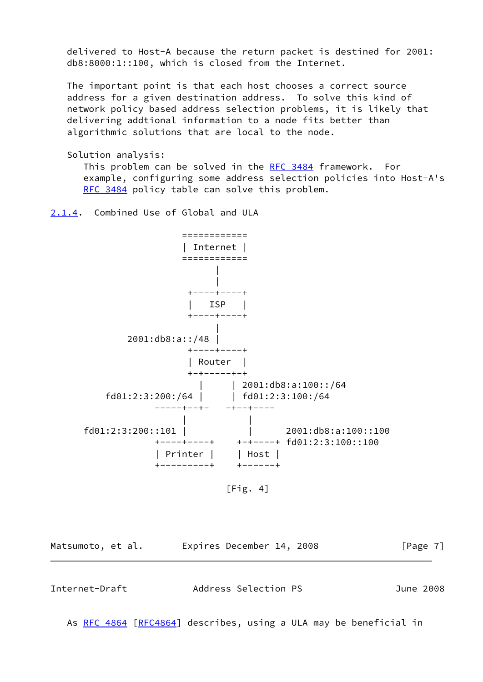delivered to Host-A because the return packet is destined for 2001: db8:8000:1::100, which is closed from the Internet.

 The important point is that each host chooses a correct source address for a given destination address. To solve this kind of network policy based address selection problems, it is likely that delivering addtional information to a node fits better than algorithmic solutions that are local to the node.

Solution analysis:

This problem can be solved in the [RFC 3484](https://datatracker.ietf.org/doc/pdf/rfc3484) framework. For example, configuring some address selection policies into Host-A's [RFC 3484](https://datatracker.ietf.org/doc/pdf/rfc3484) policy table can solve this problem.

<span id="page-7-0"></span>[2.1.4](#page-7-0). Combined Use of Global and ULA



[Fig. 4]

| Matsumoto, et al. | Expires December 14, 2008 | [Page 7] |
|-------------------|---------------------------|----------|
|                   |                           |          |

<span id="page-7-1"></span>Internet-Draft Address Selection PS June 2008

As [RFC 4864 \[RFC4864](https://datatracker.ietf.org/doc/pdf/rfc4864)] describes, using a ULA may be beneficial in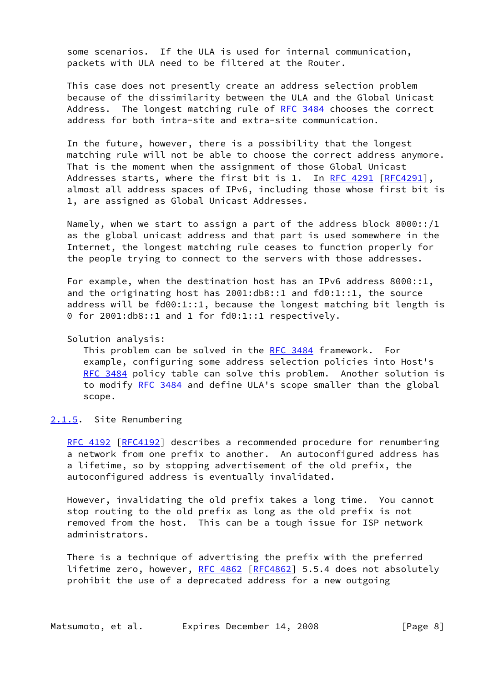some scenarios. If the ULA is used for internal communication, packets with ULA need to be filtered at the Router.

 This case does not presently create an address selection problem because of the dissimilarity between the ULA and the Global Unicast Address. The longest matching rule of [RFC 3484](https://datatracker.ietf.org/doc/pdf/rfc3484) chooses the correct address for both intra-site and extra-site communication.

 In the future, however, there is a possibility that the longest matching rule will not be able to choose the correct address anymore. That is the moment when the assignment of those Global Unicast Addresses starts, where the first bit is 1. In [RFC 4291](https://datatracker.ietf.org/doc/pdf/rfc4291) [\[RFC4291](https://datatracker.ietf.org/doc/pdf/rfc4291)], almost all address spaces of IPv6, including those whose first bit is 1, are assigned as Global Unicast Addresses.

Namely, when we start to assign a part of the address block  $8000::/1$  as the global unicast address and that part is used somewhere in the Internet, the longest matching rule ceases to function properly for the people trying to connect to the servers with those addresses.

 For example, when the destination host has an IPv6 address 8000::1, and the originating host has 2001:db8::1 and fd0:1::1, the source address will be fd00:1::1, because the longest matching bit length is 0 for 2001:db8::1 and 1 for fd0:1::1 respectively.

#### Solution analysis:

This problem can be solved in the [RFC 3484](https://datatracker.ietf.org/doc/pdf/rfc3484) framework. For example, configuring some address selection policies into Host's [RFC 3484](https://datatracker.ietf.org/doc/pdf/rfc3484) policy table can solve this problem. Another solution is to modify [RFC 3484](https://datatracker.ietf.org/doc/pdf/rfc3484) and define ULA's scope smaller than the global scope.

#### <span id="page-8-0"></span>[2.1.5](#page-8-0). Site Renumbering

 [RFC 4192](https://datatracker.ietf.org/doc/pdf/rfc4192) [\[RFC4192](https://datatracker.ietf.org/doc/pdf/rfc4192)] describes a recommended procedure for renumbering a network from one prefix to another. An autoconfigured address has a lifetime, so by stopping advertisement of the old prefix, the autoconfigured address is eventually invalidated.

 However, invalidating the old prefix takes a long time. You cannot stop routing to the old prefix as long as the old prefix is not removed from the host. This can be a tough issue for ISP network administrators.

 There is a technique of advertising the prefix with the preferred lifetime zero, however, [RFC 4862](https://datatracker.ietf.org/doc/pdf/rfc4862) [\[RFC4862](https://datatracker.ietf.org/doc/pdf/rfc4862)] 5.5.4 does not absolutely prohibit the use of a deprecated address for a new outgoing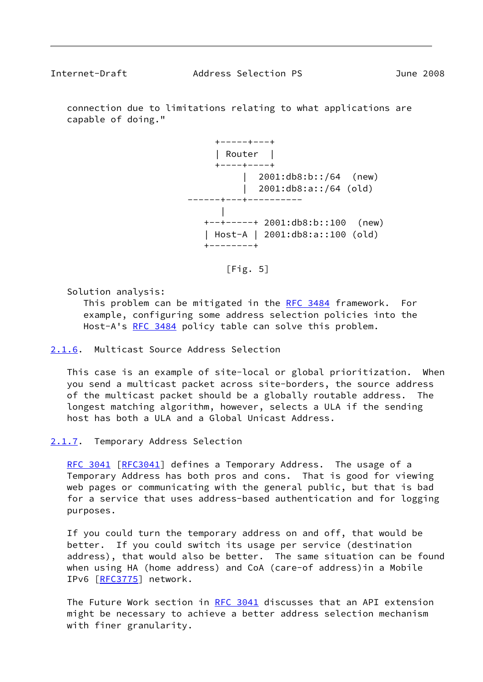<span id="page-9-1"></span> connection due to limitations relating to what applications are capable of doing."



 $[Fig. 5]$ 

Solution analysis:

This problem can be mitigated in the [RFC 3484](https://datatracker.ietf.org/doc/pdf/rfc3484) framework. For example, configuring some address selection policies into the Host-A's [RFC 3484](https://datatracker.ietf.org/doc/pdf/rfc3484) policy table can solve this problem.

<span id="page-9-0"></span>[2.1.6](#page-9-0). Multicast Source Address Selection

 This case is an example of site-local or global prioritization. When you send a multicast packet across site-borders, the source address of the multicast packet should be a globally routable address. The longest matching algorithm, however, selects a ULA if the sending host has both a ULA and a Global Unicast Address.

<span id="page-9-2"></span>[2.1.7](#page-9-2). Temporary Address Selection

[RFC 3041](https://datatracker.ietf.org/doc/pdf/rfc3041) [\[RFC3041](https://datatracker.ietf.org/doc/pdf/rfc3041)] defines a Temporary Address. The usage of a Temporary Address has both pros and cons. That is good for viewing web pages or communicating with the general public, but that is bad for a service that uses address-based authentication and for logging purposes.

 If you could turn the temporary address on and off, that would be better. If you could switch its usage per service (destination address), that would also be better. The same situation can be found when using HA (home address) and CoA (care-of address)in a Mobile IPv6 [\[RFC3775](https://datatracker.ietf.org/doc/pdf/rfc3775)] network.

 The Future Work section in [RFC 3041](https://datatracker.ietf.org/doc/pdf/rfc3041) discusses that an API extension might be necessary to achieve a better address selection mechanism with finer granularity.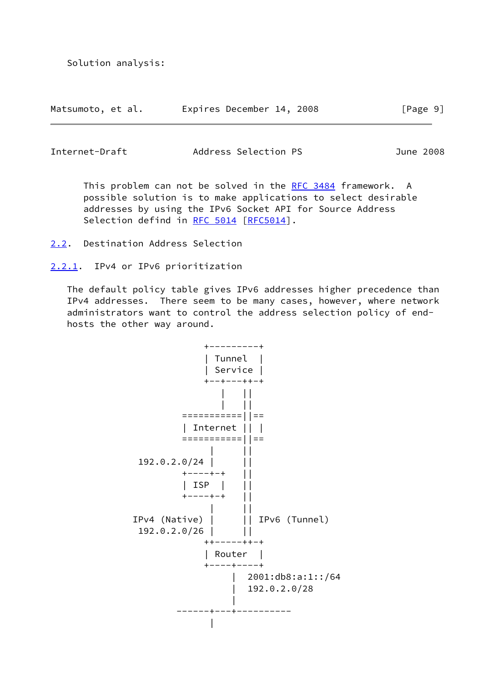Solution analysis:

| Matsumoto, et al. |  | Expires December 14, 2008 |  | [Page 9] |
|-------------------|--|---------------------------|--|----------|
|                   |  |                           |  |          |

<span id="page-10-1"></span>Internet-Draft Address Selection PS June 2008

This problem can not be solved in the [RFC 3484](https://datatracker.ietf.org/doc/pdf/rfc3484) framework. A possible solution is to make applications to select desirable addresses by using the IPv6 Socket API for Source Address Selection defind in [RFC 5014 \[RFC5014](https://datatracker.ietf.org/doc/pdf/rfc5014)].

<span id="page-10-0"></span>[2.2](#page-10-0). Destination Address Selection

<span id="page-10-2"></span>[2.2.1](#page-10-2). IPv4 or IPv6 prioritization

 The default policy table gives IPv6 addresses higher precedence than IPv4 addresses. There seem to be many cases, however, where network administrators want to control the address selection policy of end hosts the other way around.

 +---------+ | Tunnel | | Service | +--+---++-+  $\|$   $\|$  $|$  || ===========||== | Internet || | ===========||== | || 192.0.2.0/24 | ||  $+----+-+$  || | ISP | || +----+-+ || | || IPv4 (Native) | || IPv6 (Tunnel) 192.0.2.0/26 | || ++-----++-+ | Router | +----+----+ | 2001:db8:a:1::/64 |  $192.0.2.0/28$  | ------+---+---------- |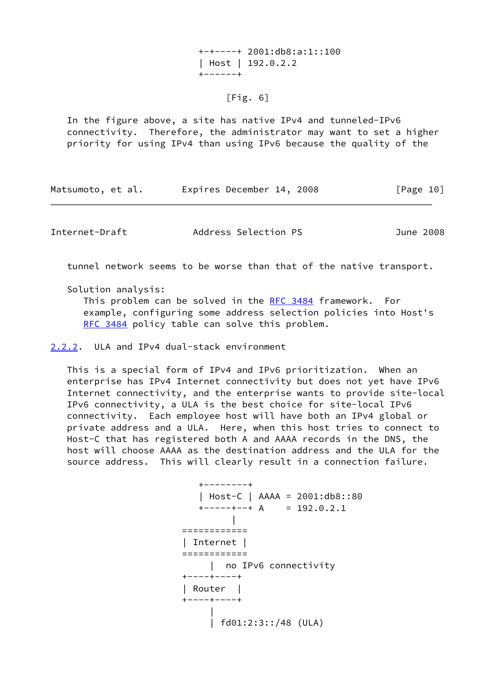+-+----+ 2001:db8:a:1::100 | Host | 192.0.2.2 +------+

### [Fig. 6]

 In the figure above, a site has native IPv4 and tunneled-IPv6 connectivity. Therefore, the administrator may want to set a higher priority for using IPv4 than using IPv6 because the quality of the

| Matsumoto, et al. | Expires December 14, 2008 | [Page 10] |
|-------------------|---------------------------|-----------|
|-------------------|---------------------------|-----------|

<span id="page-11-1"></span>Internet-Draft Address Selection PS June 2008

tunnel network seems to be worse than that of the native transport.

Solution analysis:

 This problem can be solved in the [RFC 3484](https://datatracker.ietf.org/doc/pdf/rfc3484) framework. For example, configuring some address selection policies into Host's [RFC 3484](https://datatracker.ietf.org/doc/pdf/rfc3484) policy table can solve this problem.

<span id="page-11-0"></span>[2.2.2](#page-11-0). ULA and IPv4 dual-stack environment

 This is a special form of IPv4 and IPv6 prioritization. When an enterprise has IPv4 Internet connectivity but does not yet have IPv6 Internet connectivity, and the enterprise wants to provide site-local IPv6 connectivity, a ULA is the best choice for site-local IPv6 connectivity. Each employee host will have both an IPv4 global or private address and a ULA. Here, when this host tries to connect to Host-C that has registered both A and AAAA records in the DNS, the host will choose AAAA as the destination address and the ULA for the source address. This will clearly result in a connection failure.

 +--------+ | Host-C | AAAA = 2001:db8::80  $+---++A = 192.0.2.1$  | ============ | Internet | ============ | no IPv6 connectivity +----+----+ | Router | +----+----+ | | fd01:2:3::/48 (ULA)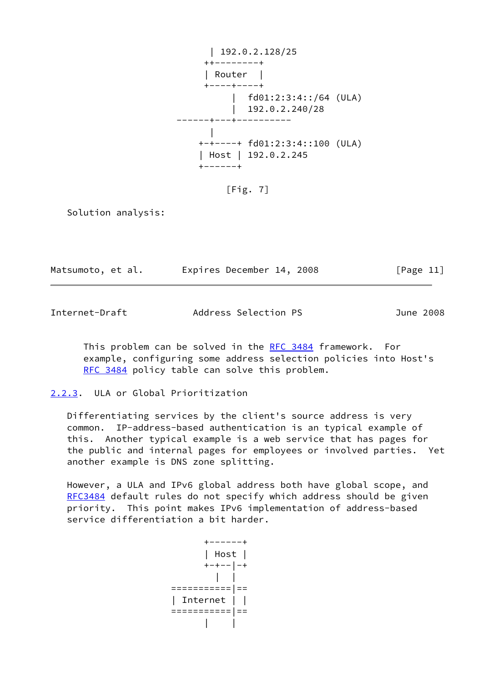| 192.0.2.128/25 ++--------+ | Router | +----+----+ | fd01:2:3:4::/64 (ULA) | 192.0.2.240/28 ------+---+---------- | +-+----+ fd01:2:3:4::100 (ULA) | Host | 192.0.2.245 +------+

[Fig. 7]

Solution analysis:

| Matsumoto, et al. |  |  | Expires December 14, 2008 |  |  | [Page 11] |  |
|-------------------|--|--|---------------------------|--|--|-----------|--|
|-------------------|--|--|---------------------------|--|--|-----------|--|

<span id="page-12-1"></span>Internet-Draft Address Selection PS June 2008

 This problem can be solved in the [RFC 3484](https://datatracker.ietf.org/doc/pdf/rfc3484) framework. For example, configuring some address selection policies into Host's [RFC 3484](https://datatracker.ietf.org/doc/pdf/rfc3484) policy table can solve this problem.

<span id="page-12-0"></span>[2.2.3](#page-12-0). ULA or Global Prioritization

 Differentiating services by the client's source address is very common. IP-address-based authentication is an typical example of this. Another typical example is a web service that has pages for the public and internal pages for employees or involved parties. Yet another example is DNS zone splitting.

 However, a ULA and IPv6 global address both have global scope, and [RFC3484](https://datatracker.ietf.org/doc/pdf/rfc3484) default rules do not specify which address should be given priority. This point makes IPv6 implementation of address-based service differentiation a bit harder.

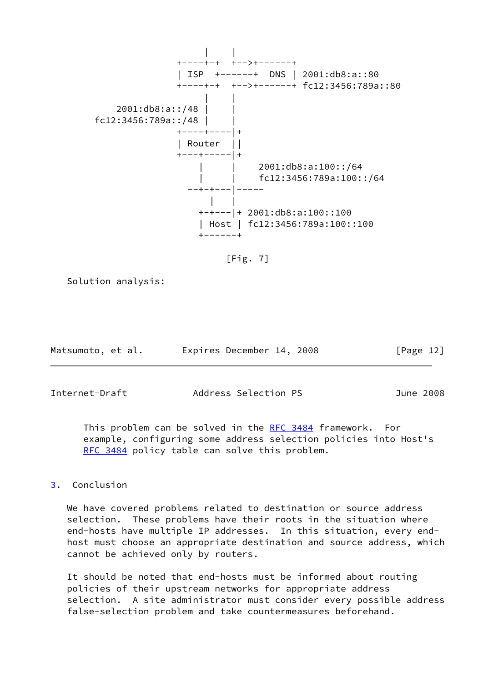

 $[Fig. 7]$ 

Solution analysis:

| Matsumoto, et al. |  | Expires December 14, 2008 |  | [Page 12] |  |
|-------------------|--|---------------------------|--|-----------|--|
|                   |  |                           |  |           |  |

<span id="page-13-1"></span>Internet-Draft Address Selection PS June 2008

This problem can be solved in the [RFC 3484](https://datatracker.ietf.org/doc/pdf/rfc3484) framework. For example, configuring some address selection policies into Host's [RFC 3484](https://datatracker.ietf.org/doc/pdf/rfc3484) policy table can solve this problem.

# <span id="page-13-0"></span>[3](#page-13-0). Conclusion

 We have covered problems related to destination or source address selection. These problems have their roots in the situation where end-hosts have multiple IP addresses. In this situation, every end host must choose an appropriate destination and source address, which cannot be achieved only by routers.

 It should be noted that end-hosts must be informed about routing policies of their upstream networks for appropriate address selection. A site administrator must consider every possible address false-selection problem and take countermeasures beforehand.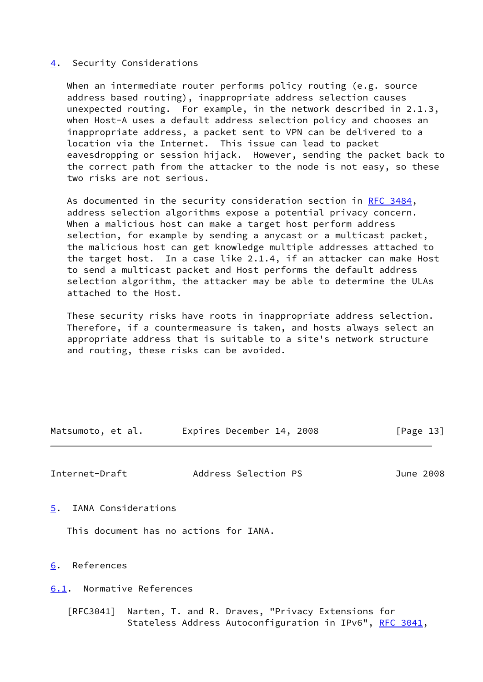#### <span id="page-14-0"></span>[4](#page-14-0). Security Considerations

When an intermediate router performs policy routing (e.g. source address based routing), inappropriate address selection causes unexpected routing. For example, in the network described in 2.1.3, when Host-A uses a default address selection policy and chooses an inappropriate address, a packet sent to VPN can be delivered to a location via the Internet. This issue can lead to packet eavesdropping or session hijack. However, sending the packet back to the correct path from the attacker to the node is not easy, so these two risks are not serious.

As documented in the security consideration section in [RFC 3484,](https://datatracker.ietf.org/doc/pdf/rfc3484) address selection algorithms expose a potential privacy concern. When a malicious host can make a target host perform address selection, for example by sending a anycast or a multicast packet, the malicious host can get knowledge multiple addresses attached to the target host. In a case like 2.1.4, if an attacker can make Host to send a multicast packet and Host performs the default address selection algorithm, the attacker may be able to determine the ULAs attached to the Host.

 These security risks have roots in inappropriate address selection. Therefore, if a countermeasure is taken, and hosts always select an appropriate address that is suitable to a site's network structure and routing, these risks can be avoided.

| Matsumoto, et al. |  | Expires December 14, 2008 |  | [Page 13] |  |
|-------------------|--|---------------------------|--|-----------|--|
|                   |  |                           |  |           |  |

<span id="page-14-2"></span>Internet-Draft Address Selection PS June 2008

<span id="page-14-1"></span>[5](#page-14-1). IANA Considerations

This document has no actions for IANA.

<span id="page-14-3"></span>[6](#page-14-3). References

<span id="page-14-4"></span>[6.1](#page-14-4). Normative References

 [RFC3041] Narten, T. and R. Draves, "Privacy Extensions for Stateless Address Autoconfiguration in IPv6", [RFC 3041](https://datatracker.ietf.org/doc/pdf/rfc3041),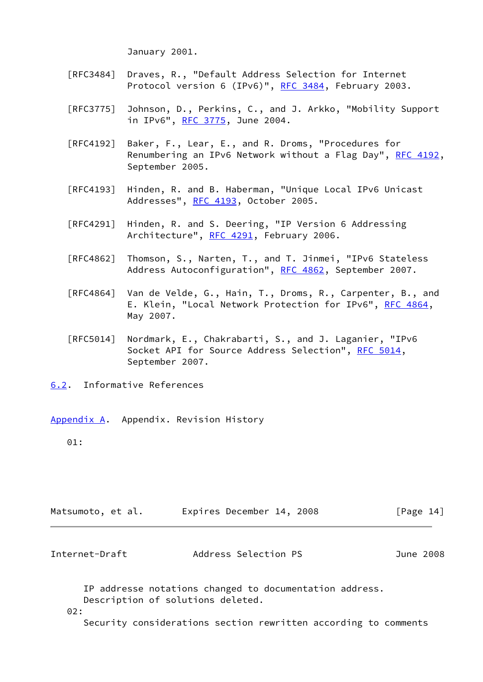January 2001.

- [RFC3484] Draves, R., "Default Address Selection for Internet Protocol version 6 (IPv6)", [RFC 3484,](https://datatracker.ietf.org/doc/pdf/rfc3484) February 2003.
- [RFC3775] Johnson, D., Perkins, C., and J. Arkko, "Mobility Support in IPv6", [RFC 3775](https://datatracker.ietf.org/doc/pdf/rfc3775), June 2004.
- [RFC4192] Baker, F., Lear, E., and R. Droms, "Procedures for Renumbering an IPv6 Network without a Flag Day", [RFC 4192,](https://datatracker.ietf.org/doc/pdf/rfc4192) September 2005.
- [RFC4193] Hinden, R. and B. Haberman, "Unique Local IPv6 Unicast Addresses", [RFC 4193,](https://datatracker.ietf.org/doc/pdf/rfc4193) October 2005.
- [RFC4291] Hinden, R. and S. Deering, "IP Version 6 Addressing Architecture", [RFC 4291](https://datatracker.ietf.org/doc/pdf/rfc4291), February 2006.
- [RFC4862] Thomson, S., Narten, T., and T. Jinmei, "IPv6 Stateless Address Autoconfiguration", [RFC 4862,](https://datatracker.ietf.org/doc/pdf/rfc4862) September 2007.
- [RFC4864] Van de Velde, G., Hain, T., Droms, R., Carpenter, B., and E. Klein, "Local Network Protection for IPv6", [RFC 4864](https://datatracker.ietf.org/doc/pdf/rfc4864), May 2007.
- [RFC5014] Nordmark, E., Chakrabarti, S., and J. Laganier, "IPv6 Socket API for Source Address Selection", [RFC 5014](https://datatracker.ietf.org/doc/pdf/rfc5014), September 2007.
- <span id="page-15-0"></span>[6.2](#page-15-0). Informative References
- <span id="page-15-1"></span>[Appendix A.](#page-15-1) Appendix. Revision History

01:

<span id="page-15-2"></span>

| Matsumoto, et al. | Expires December 14, 2008 | $\lceil \text{Page 14} \rceil$ |
|-------------------|---------------------------|--------------------------------|
| Internet-Draft    | Address Selection PS      | June 2008                      |

 IP addresse notations changed to documentation address. Description of solutions deleted.

02:

Security considerations section rewritten according to comments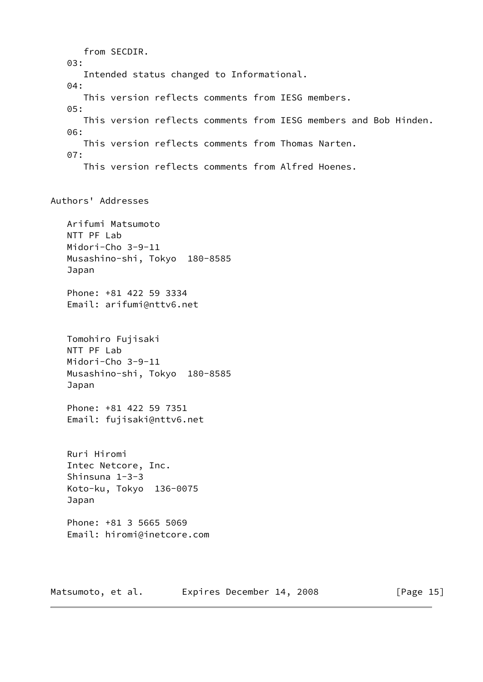from SECDIR. 03: Intended status changed to Informational. 04: This version reflects comments from IESG members. 05: This version reflects comments from IESG members and Bob Hinden. 06: This version reflects comments from Thomas Narten. 07: This version reflects comments from Alfred Hoenes. Authors' Addresses Arifumi Matsumoto NTT PF Lab Midori-Cho 3-9-11 Musashino-shi, Tokyo 180-8585 Japan Phone: +81 422 59 3334 Email: arifumi@nttv6.net Tomohiro Fujisaki NTT PF Lab Midori-Cho 3-9-11 Musashino-shi, Tokyo 180-8585 Japan Phone: +81 422 59 7351 Email: fujisaki@nttv6.net Ruri Hiromi Intec Netcore, Inc. Shinsuna 1-3-3 Koto-ku, Tokyo 136-0075 Japan Phone: +81 3 5665 5069 Email: hiromi@inetcore.com

Matsumoto, et al. Expires December 14, 2008 [Page 15]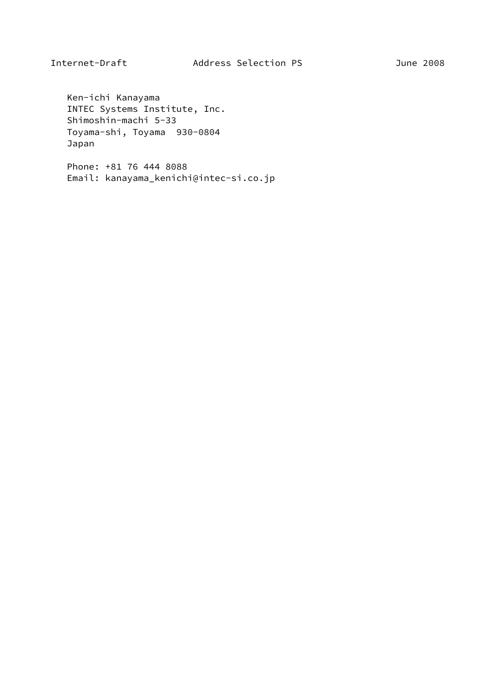Ken-ichi Kanayama INTEC Systems Institute, Inc. Shimoshin-machi 5-33 Toyama-shi, Toyama 930-0804 Japan

 Phone: +81 76 444 8088 Email: kanayama\_kenichi@intec-si.co.jp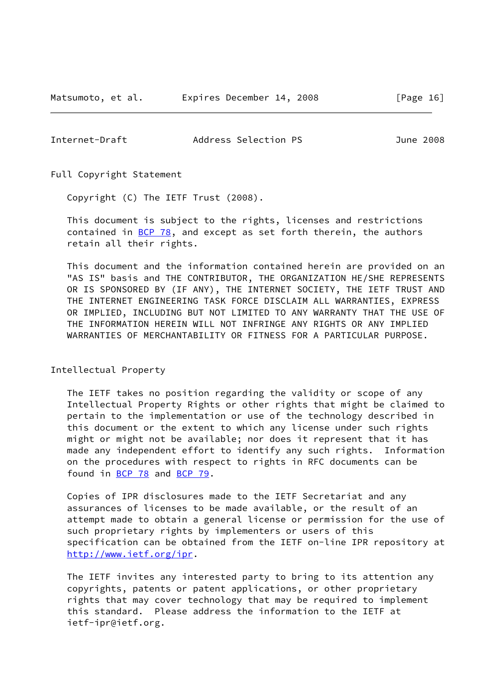Matsumoto, et al. **Expires December 14, 2008** [Page 16]

<span id="page-18-0"></span>Internet-Draft Address Selection PS June 2008

Full Copyright Statement

Copyright (C) The IETF Trust (2008).

 This document is subject to the rights, licenses and restrictions contained in  $BCP$  78, and except as set forth therein, the authors retain all their rights.

 This document and the information contained herein are provided on an "AS IS" basis and THE CONTRIBUTOR, THE ORGANIZATION HE/SHE REPRESENTS OR IS SPONSORED BY (IF ANY), THE INTERNET SOCIETY, THE IETF TRUST AND THE INTERNET ENGINEERING TASK FORCE DISCLAIM ALL WARRANTIES, EXPRESS OR IMPLIED, INCLUDING BUT NOT LIMITED TO ANY WARRANTY THAT THE USE OF THE INFORMATION HEREIN WILL NOT INFRINGE ANY RIGHTS OR ANY IMPLIED WARRANTIES OF MERCHANTABILITY OR FITNESS FOR A PARTICULAR PURPOSE.

Intellectual Property

 The IETF takes no position regarding the validity or scope of any Intellectual Property Rights or other rights that might be claimed to pertain to the implementation or use of the technology described in this document or the extent to which any license under such rights might or might not be available; nor does it represent that it has made any independent effort to identify any such rights. Information on the procedures with respect to rights in RFC documents can be found in [BCP 78](https://datatracker.ietf.org/doc/pdf/bcp78) and [BCP 79](https://datatracker.ietf.org/doc/pdf/bcp79).

 Copies of IPR disclosures made to the IETF Secretariat and any assurances of licenses to be made available, or the result of an attempt made to obtain a general license or permission for the use of such proprietary rights by implementers or users of this specification can be obtained from the IETF on-line IPR repository at <http://www.ietf.org/ipr>.

 The IETF invites any interested party to bring to its attention any copyrights, patents or patent applications, or other proprietary rights that may cover technology that may be required to implement this standard. Please address the information to the IETF at ietf-ipr@ietf.org.